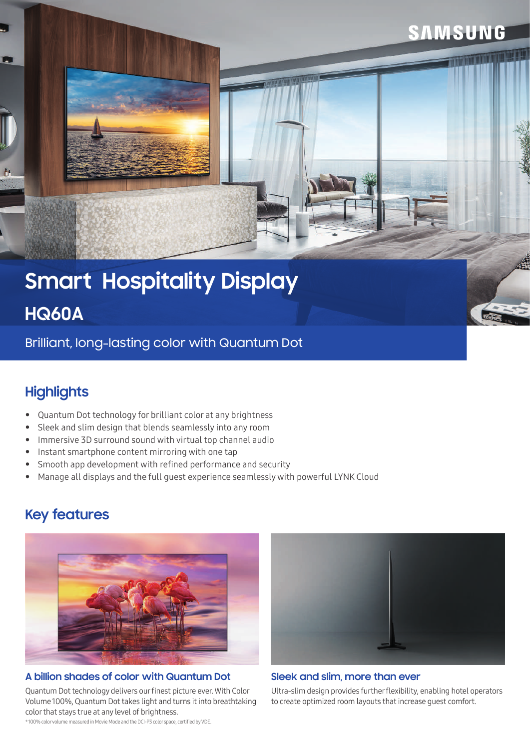# **Smart Hospitality Display**

## **HQ60A**

Brilliant, long-lasting color with Quantum Dot

## **Highlights**

- Quantum Dot technology for brilliant color at any brightness
- Sleek and slim design that blends seamlessly into any room
- Immersive 3D surround sound with virtual top channel audio
- Instant smartphone content mirroring with one tap
- Smooth app development with refined performance and security
- Manage all displays and the full guest experience seamlessly with powerful LYNK Cloud

## **Key features**



#### **A billion shades of color with Quantum Dot Sleek and slim, more than ever**

Quantum Dot technology delivers our finest picture ever. With Color Volume 100%, Quantum Dot takes light and turns it into breathtaking color that stays true at any level of brightness.

\* 100% color volume measured in Movie Mode and the DCI-P3 color space, certified by VDE.



**SAMSUNG** 

Ultra-slim design provides further flexibility, enabling hotel operators to create optimized room layouts that increase guest comfort.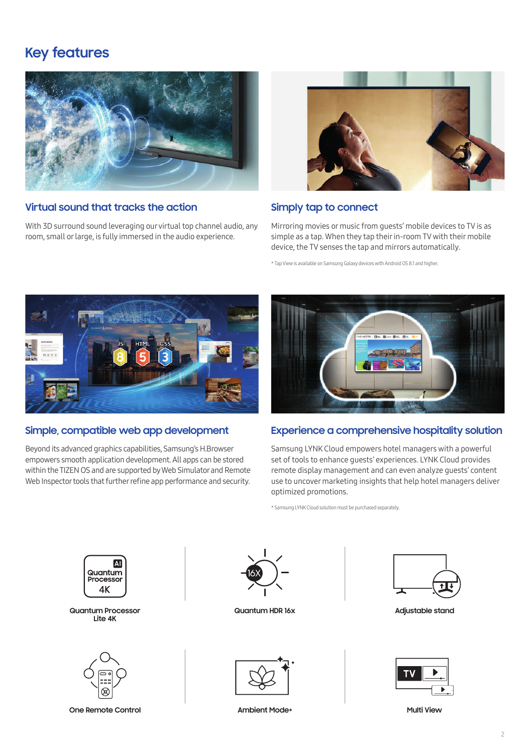#### **Key features**



#### **Virtual sound that tracks the action**

With 3D surround sound leveraging our virtual top channel audio, any room, small or large, is fully immersed in the audio experience.



#### **Simply tap to connect**

Mirroring movies or music from guests' mobile devices to TV is as simple as a tap. When they tap their in-room TV with their mobile device, the TV senses the tap and mirrors automatically.

\* Tap View is available on Samsung Galaxy devices with Android OS 8.1 and higher.



#### **Simple, compatible web app development**

Beyond its advanced graphics capabilities, Samsung's H.Browser empowers smooth application development. All apps can be stored within the TIZEN OS and are supported by Web Simulator and Remote Web Inspector tools that further refine app performance and security.



#### **Experience a comprehensive hospitality solution**

Samsung LYNK Cloud empowers hotel managers with a powerful set of tools to enhance guests' experiences. LYNK Cloud provides remote display management and can even analyze guests' content use to uncover marketing insights that help hotel managers deliver optimized promotions.

\* Samsung LYNK Cloud solution must be purchased separately.



**Quantum Processor Lite 4K**



**One Remote Control Control Control Control Control Control Control Control Control Control Control Control Control Control Control Control Control Control Control Control Control Control Control Control Control Control Co** 



**Quantum HDR 16x**



**Adjustable stand**





**Ambient Mode+**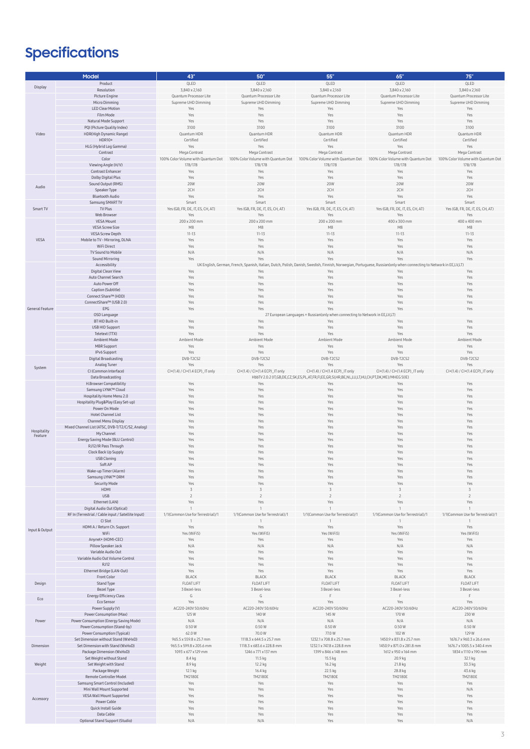## **Specifications**

|                        | Model                                               | 43                                                                           | 50                                                                                                                                                                 | 55"                                                                                           | 65"                                | 75"                                |
|------------------------|-----------------------------------------------------|------------------------------------------------------------------------------|--------------------------------------------------------------------------------------------------------------------------------------------------------------------|-----------------------------------------------------------------------------------------------|------------------------------------|------------------------------------|
|                        |                                                     | QLED                                                                         | QLED                                                                                                                                                               | QLED                                                                                          | QLED                               | QLED                               |
| Display                | Product                                             |                                                                              |                                                                                                                                                                    |                                                                                               |                                    |                                    |
|                        | Resolution                                          | 3,840 x 2,160                                                                | 3,840 x 2,160                                                                                                                                                      | 3,840 x 2,160                                                                                 | 3,840 x 2,160                      | 3,840 x 2,160                      |
|                        | Picture Engine                                      | Quantum Processor Lite                                                       | Quantum Processor Lite                                                                                                                                             | Quantum Processor Lite                                                                        | Quantum Processor Lite             | Quantum Processor Lite             |
|                        | Micro Dimming                                       | Supreme UHD Dimming                                                          | Supreme UHD Dimming                                                                                                                                                | Supreme UHD Dimming                                                                           | Supreme UHD Dimming                | Supreme UHD Dimming                |
|                        |                                                     |                                                                              |                                                                                                                                                                    |                                                                                               |                                    |                                    |
|                        | <b>LED Clear Motion</b>                             | Yes                                                                          | Yes                                                                                                                                                                | Yes                                                                                           | Yes                                | Yes                                |
|                        | Film Mode                                           | Yes                                                                          | Yes                                                                                                                                                                | Yes                                                                                           | Yes                                | Yes                                |
|                        | Natural Mode Support                                | Yes                                                                          | Yes                                                                                                                                                                | Yes                                                                                           | Yes                                | Yes                                |
|                        | PQI (Picture Quality Index)                         | 3100                                                                         | 3100                                                                                                                                                               | 3100                                                                                          | 3100                               | 3100                               |
|                        |                                                     |                                                                              |                                                                                                                                                                    |                                                                                               |                                    |                                    |
| Video                  | HDR(High Dynamic Range)                             | Quantum HDR                                                                  | Quantum HDR                                                                                                                                                        | Quantum HDR                                                                                   | Quantum HDR                        | Quantum HDR                        |
|                        | HDR10+                                              | Certified                                                                    | Certified                                                                                                                                                          | Certified                                                                                     | Certified                          | Certified                          |
|                        | HLG (Hybrid Log Gamma)                              | Yes                                                                          | Yes                                                                                                                                                                | Yes                                                                                           | Yes                                | Yes                                |
|                        |                                                     |                                                                              |                                                                                                                                                                    |                                                                                               |                                    |                                    |
|                        | Contrast                                            | Mega Contrast                                                                | Mega Contrast                                                                                                                                                      | Mega Contrast                                                                                 | Mega Contrast                      | Mega Contrast                      |
|                        | Color                                               | 100% Color Volume with Quantum Dot                                           | 100% Color Volume with Quantum Dot                                                                                                                                 | 100% Color Volume with Quantum Dot                                                            | 100% Color Volume with Quantum Dot | 100% Color Volume with Quantum Dot |
|                        | Viewing Angle (H/V)                                 | 178/178                                                                      | 178/178                                                                                                                                                            | 178/178                                                                                       | 178/178                            | 178/178                            |
|                        |                                                     |                                                                              |                                                                                                                                                                    |                                                                                               |                                    |                                    |
|                        | Contrast Enhancer                                   | Yes                                                                          | Yes                                                                                                                                                                | Yes                                                                                           | Yes                                | Yes                                |
|                        | Dolby Digital Plus                                  | Yes                                                                          | Yes                                                                                                                                                                | Yes                                                                                           | Yes                                | Yes                                |
|                        | Sound Output (RMS)                                  | <b>20W</b>                                                                   | 20W                                                                                                                                                                | <b>20W</b>                                                                                    | <b>20W</b>                         | 20W                                |
| Audio                  |                                                     |                                                                              |                                                                                                                                                                    |                                                                                               | 2CH                                | 2CH                                |
|                        | Speaker Type                                        | 2CH                                                                          | 2CH                                                                                                                                                                | 2CH                                                                                           |                                    |                                    |
|                        | <b>Bluetooth Audio</b>                              | Yes                                                                          | Yes                                                                                                                                                                | Yes                                                                                           | Yes                                | Yes                                |
|                        | Samsung SMART TV                                    | Smart                                                                        | Smart                                                                                                                                                              | Smart                                                                                         | Smart                              | Smart                              |
| Smart TV               | TV Plus                                             | Yes (GB, FR, DE, IT, ES, CH, AT)                                             | Yes (GB, FR, DE, IT, ES, CH, AT)                                                                                                                                   | Yes (GB, FR, DE, IT, ES, CH, AT)                                                              | Yes (GB, FR, DE, IT, ES, CH, AT)   | Yes (GB, FR, DE, IT, ES, CH, AT)   |
|                        |                                                     |                                                                              |                                                                                                                                                                    |                                                                                               |                                    |                                    |
|                        | Web Browser                                         | Yes                                                                          | Yes                                                                                                                                                                | Yes                                                                                           | Yes                                | Yes                                |
|                        | VESA Mount                                          | 200 x 200 mm                                                                 | 200 x 200 mm                                                                                                                                                       | 200 x 200 mm                                                                                  | 400 x 300 mn                       | 400 x 400 mm                       |
|                        | <b>VESA Screw Size</b>                              | M <sub>8</sub>                                                               | M8                                                                                                                                                                 | M8                                                                                            | M8                                 | M <sub>8</sub>                     |
|                        |                                                     |                                                                              | $11 - 13$                                                                                                                                                          | $11 - 13$                                                                                     |                                    | $11 - 13$                          |
|                        | <b>VESA Screw Depth</b>                             | $11 - 13$                                                                    |                                                                                                                                                                    |                                                                                               | $11 - 13$                          |                                    |
| VESA                   | Mobile to TV - Mirroring, DLNA                      | Yes                                                                          | Yes                                                                                                                                                                | Yes                                                                                           | Yes                                | Yes                                |
|                        | WiFi Direct                                         | Yes                                                                          | Yes                                                                                                                                                                | Yes                                                                                           | Yes                                | Yes                                |
|                        |                                                     | N/A                                                                          | N/A                                                                                                                                                                | N/A                                                                                           |                                    | N/A                                |
|                        | TV Sound to Mobile                                  |                                                                              |                                                                                                                                                                    |                                                                                               | N/A                                |                                    |
|                        | Sound Mirroring                                     | Yes                                                                          | Yes                                                                                                                                                                | Yes                                                                                           | Yes                                | Yes                                |
|                        | Accessibility                                       |                                                                              | UK English, German, French, Spanish, Italian, Dutch, Polish, Danish, Swedish, Finnish, Norwegian, Portuguese, Russian(only when connecting to Network in EE,LV,LT) |                                                                                               |                                    |                                    |
|                        | Digital Clean View                                  | Yes                                                                          | Yes                                                                                                                                                                | Yes                                                                                           | Yes                                | Yes                                |
|                        |                                                     |                                                                              |                                                                                                                                                                    |                                                                                               |                                    |                                    |
|                        | Auto Channel Search                                 | Yes                                                                          | Yes                                                                                                                                                                | Yes                                                                                           | Yes                                | Yes                                |
|                        | Auto Power Off                                      | Yes                                                                          | Yes                                                                                                                                                                | Yes                                                                                           | Yes                                | Yes                                |
|                        | Caption (Subtitle)                                  | Yes                                                                          | Yes                                                                                                                                                                | Yes                                                                                           | Yes                                | Yes                                |
|                        |                                                     |                                                                              |                                                                                                                                                                    |                                                                                               |                                    |                                    |
|                        | Connect Share™ (HDD)                                | Yes                                                                          | Yes                                                                                                                                                                | Yes                                                                                           | Yes                                | Yes                                |
|                        | ConnectShare™ (USB 2.0)                             | Yes                                                                          | Yes                                                                                                                                                                | Yes                                                                                           | Yes                                | Yes                                |
| General Feature        | EPG                                                 | Yes                                                                          | Yes                                                                                                                                                                | Yes                                                                                           | Yes                                | Yρς                                |
|                        |                                                     | 27 European Languages + Russian(only when connecting to Network in EE,LV,LT) |                                                                                                                                                                    |                                                                                               |                                    |                                    |
|                        | OSD Language                                        |                                                                              |                                                                                                                                                                    |                                                                                               |                                    |                                    |
|                        | <b>BT HID Built-in</b>                              | Yes                                                                          | Yes                                                                                                                                                                | Yes                                                                                           | Yes                                | Yes                                |
|                        | USB HID Support                                     | Yes                                                                          | Yes                                                                                                                                                                | Yes                                                                                           | Yes                                | Yes                                |
|                        | Teletext (TTX)                                      | Yes                                                                          | Yes                                                                                                                                                                | Yes                                                                                           | Yes                                | Yes                                |
|                        |                                                     |                                                                              |                                                                                                                                                                    |                                                                                               |                                    |                                    |
|                        | Ambient Mode                                        | Ambient Mode                                                                 | Ambient Mode                                                                                                                                                       | Ambient Mode                                                                                  | Ambient Mode                       | Ambient Mode                       |
|                        | MBR Support                                         | Yes                                                                          | Yes                                                                                                                                                                | Yes                                                                                           | Yes                                | Yes                                |
|                        | IPv6 Support                                        | Yes                                                                          | Yes                                                                                                                                                                | Yes                                                                                           | Yes                                | Yes                                |
|                        |                                                     |                                                                              |                                                                                                                                                                    |                                                                                               |                                    |                                    |
|                        | Digital Broadcasting                                | DVB-T2CS2                                                                    | DVB-T2CS2                                                                                                                                                          | DVB-T2CS2                                                                                     | DVB-T2CS2                          | DVB-T2CS2                          |
|                        | Analog Tuner                                        | Yes                                                                          | Yes                                                                                                                                                                | Yes                                                                                           | Yes                                | Yes                                |
| System                 | CI (Common Interface)                               | CI+(1.4) / CI+(1.4 ECP)_IT only                                              | CI+(1.4) / CI+(1.4 ECP)_IT only                                                                                                                                    | CI+(1.4) / CI+(1.4 ECP) _IT only                                                              | CI+(1.4) / CI+(1.4 ECP)_IT only    | CI+(1.4) / CI+(1.4 ECP)_IT only    |
|                        | Data Broadcasting                                   |                                                                              |                                                                                                                                                                    | HbbTV 2.0.2 (IT,GB,DE,CZ,SK,ES,PL,AT,FR,FI,EE,GR,SI,HR,BE,NL,LU,LT,HU,CH,PT,DK,ME)/MHEG 5(IE) |                                    |                                    |
|                        |                                                     |                                                                              |                                                                                                                                                                    |                                                                                               |                                    |                                    |
|                        | H.Browser Compatibility                             | Yes                                                                          | Yes                                                                                                                                                                | Yes                                                                                           | Yes                                | Yes                                |
|                        | Samsung LYNK™ Cloud                                 | Yes                                                                          | Yes                                                                                                                                                                | Yes                                                                                           | Yes                                | Yes                                |
|                        | Hospitality Home Menu 2.0                           | Yes                                                                          | Yes                                                                                                                                                                | Yes                                                                                           | Yes                                | Yes                                |
|                        |                                                     |                                                                              |                                                                                                                                                                    |                                                                                               | Yes                                |                                    |
|                        | Hospitality Plug&Play (Easy Set-up)                 | Yes                                                                          | Yes                                                                                                                                                                | Yes                                                                                           |                                    | Yes                                |
|                        | Power On Mode                                       | Yes                                                                          | Yes                                                                                                                                                                | Yes                                                                                           | Yes                                | Yes                                |
|                        | <b>Hotel Channel List</b>                           | Yes                                                                          | Yes                                                                                                                                                                | Yes                                                                                           | Yes                                | Yes                                |
|                        | Channel Menu Display                                | Yes                                                                          | Yes                                                                                                                                                                | Yes                                                                                           | Yes                                | Yes                                |
| Hospitality<br>Feature |                                                     |                                                                              |                                                                                                                                                                    |                                                                                               |                                    |                                    |
|                        | Mixed Channel List (ATSC, DVB-T/T2/C/S2, Analog)    | Yes                                                                          | Yes                                                                                                                                                                | Yes                                                                                           | Yes                                | Yes                                |
|                        | My Channel                                          | Yes                                                                          | Yes                                                                                                                                                                | Yes                                                                                           | Yes                                | Yes                                |
|                        | Energy Saving Mode (BLU Control)                    | Yes                                                                          | Yes                                                                                                                                                                | Yes                                                                                           | Yes                                | Yes                                |
|                        |                                                     |                                                                              |                                                                                                                                                                    |                                                                                               |                                    |                                    |
|                        | RJ12/IR Pass Through                                | Yes                                                                          | Yes                                                                                                                                                                | Yes                                                                                           | Yes                                | Yes                                |
|                        | Clock Back Up Supply                                | Yes                                                                          | Yes                                                                                                                                                                | Yes                                                                                           | Yes                                | Yes                                |
|                        | <b>USB Cloning</b>                                  | Yes                                                                          | Yes                                                                                                                                                                | Yes                                                                                           | Yes                                | Yes                                |
|                        | Soft AP                                             | Yes                                                                          | Yes                                                                                                                                                                | Yes                                                                                           | Yes                                | Yes                                |
|                        |                                                     |                                                                              |                                                                                                                                                                    |                                                                                               |                                    |                                    |
|                        | Wake-up Timer (Alarm)                               | Yes                                                                          | Yes                                                                                                                                                                | Yes                                                                                           | Yes                                | Yes                                |
|                        | Samsung LYNK™ DRM                                   | Yes                                                                          | Yes                                                                                                                                                                | <b>Yes</b>                                                                                    | Yes                                | Yes                                |
|                        | Security Mode                                       | Yes                                                                          | <b>Yes</b>                                                                                                                                                         | Yρς                                                                                           | Yes                                | Yes                                |
|                        |                                                     |                                                                              |                                                                                                                                                                    |                                                                                               |                                    |                                    |
|                        | HDMI                                                |                                                                              |                                                                                                                                                                    |                                                                                               |                                    |                                    |
|                        | USB                                                 |                                                                              |                                                                                                                                                                    |                                                                                               |                                    |                                    |
|                        | Ethernet (LAN)                                      |                                                                              |                                                                                                                                                                    |                                                                                               |                                    |                                    |
|                        | Digital Audio Out (Optical)                         |                                                                              |                                                                                                                                                                    |                                                                                               |                                    | $\mathbf{1}$                       |
|                        |                                                     |                                                                              |                                                                                                                                                                    |                                                                                               |                                    |                                    |
|                        | RF In (Terrestrial / Cable input / Satellite Input) | 1/1(Common Use for Terrestrial)/                                             | 1/1(Common Use for Terrestrial)/1                                                                                                                                  | 1/1(Common Use for Terrestrial)/                                                              | 1/1(Common Use for Terrestrial)/1  | 1/1(Common Use for Terrestrial)/1  |
|                        | CI Slot                                             |                                                                              |                                                                                                                                                                    |                                                                                               |                                    | $\overline{1}$                     |
|                        | HDMI A / Return Ch. Support                         | Yes                                                                          | Yes                                                                                                                                                                | Yes                                                                                           | Yes                                | Yes                                |
| Input & Output         | WiFi                                                | Yes (WiFi5)                                                                  | Yes (WiFi5)                                                                                                                                                        | Yes (WiFi5)                                                                                   | Yes (WiFi5                         | Yes (WiFi5)                        |
|                        |                                                     |                                                                              |                                                                                                                                                                    |                                                                                               |                                    |                                    |
|                        | Anynet+ (HDMI-CEC)                                  | Yes                                                                          | Yes                                                                                                                                                                | Yes                                                                                           | Yes                                | Yes                                |
|                        | Pillow Speaker Jack                                 | N/A                                                                          | N/A                                                                                                                                                                | N/A                                                                                           | N/A                                | N/A                                |
|                        | Variable Audio Out                                  | Yes                                                                          | Yes                                                                                                                                                                | Yes                                                                                           | Yes                                | Yes                                |
|                        | Variable Audio Out Volume Control                   | Yes                                                                          | Yes                                                                                                                                                                | Yes                                                                                           | Yes                                | Yes                                |
|                        |                                                     |                                                                              |                                                                                                                                                                    |                                                                                               |                                    |                                    |
|                        | <b>RJ12</b>                                         | Yes                                                                          | Yes                                                                                                                                                                | Yes                                                                                           | Yes                                | Yes                                |
|                        | Ethernet Bridge (LAN-Out)                           | Yes                                                                          | Yes                                                                                                                                                                | Yes                                                                                           | Yes                                | Yes                                |
|                        | Front Color                                         | <b>BLACK</b>                                                                 | <b>BLACK</b>                                                                                                                                                       | <b>BLACK</b>                                                                                  | <b>BLACK</b>                       | <b>BLACK</b>                       |
|                        |                                                     |                                                                              |                                                                                                                                                                    |                                                                                               |                                    |                                    |
| Design                 | Stand Type                                          | <b>FLOAT LIFT</b>                                                            | <b>FLOAT LIFT</b>                                                                                                                                                  | <b>FLOAT LIFT</b>                                                                             | FLOAT LIFT                         | <b>FLOAT LIFT</b>                  |
|                        | <b>Bezel Type</b>                                   | 3 Bezel-less                                                                 | 3 Bezel-less                                                                                                                                                       | 3 Bezel-less                                                                                  | 3 Bezel-less                       | 3 Bezel-less                       |
|                        | Energy Efficiency Class                             | G                                                                            | G                                                                                                                                                                  | F                                                                                             | E                                  | F                                  |
| Eco                    | Eco Sensor                                          | Yes                                                                          | Yes                                                                                                                                                                | Yes                                                                                           | Yes                                | Yes                                |
|                        |                                                     |                                                                              |                                                                                                                                                                    |                                                                                               |                                    |                                    |
|                        | Power Supply (V)                                    | AC220-240V 50/60Hz                                                           | AC220-240V 50/60Hz                                                                                                                                                 | AC220-240V 50/60Hz                                                                            | AC220-240V 50/60Hz                 | AC220-240V 50/60Hz                 |
|                        | Power Consumption (Max)                             | 125 W                                                                        | 140 W                                                                                                                                                              | 145 W                                                                                         | 170 W                              | 230W                               |
| Power                  | Power Consumption (Energy Saving Mode)              | N/A                                                                          | N/A                                                                                                                                                                | N/A                                                                                           | N/A                                | N/A                                |
|                        | Power Consumption (Stand-by)                        | 0.50 W                                                                       | 0.50 W                                                                                                                                                             | 0.50 W                                                                                        | 0.50 W                             | 0.50 W                             |
|                        |                                                     |                                                                              |                                                                                                                                                                    |                                                                                               |                                    |                                    |
|                        | Power Consumption (Typical)                         | 62.0 W                                                                       | 70.0W                                                                                                                                                              | 77.0 W                                                                                        | 102W                               | 129 W                              |
|                        | Set Dimension without Stand (WxHxD)                 | 965.5 x 559.8 x 25.7 mm                                                      | 1118.3 x 644.5 x 25.7 mm                                                                                                                                           | 1232.1 x 708.8 x 25.7 mm                                                                      | 1450.9 x 831.8 x 25.7 mm           | 1676.7 x 960.3 x 26.6 mm           |
| Dimension              | Set Dimension with Stand (WxHxD)                    | 965.5 x 599.8 x 205.6 mm                                                     | 1118.3 x 683.6 x 228.8 mm                                                                                                                                          | 1232.1 x 747.8 x 228.8 mm                                                                     | 1450.9 x 871.0 x 281.8 mm          | 1676.7 x 1005.5 x 340.4 mm         |
|                        |                                                     |                                                                              |                                                                                                                                                                    |                                                                                               |                                    |                                    |
|                        | Package Dimension (WxHxD)                           | 1093 x 677 x 129 mm                                                          | 1246 x 771 x 137 mm                                                                                                                                                | 1399 x 846 x 148 mm                                                                           | 1612 x 950 x 164 mm                | 1834 x 1110 x 190 mm               |
|                        | Set Weight without Stand                            | 8.4 kg                                                                       | 11.5 kg                                                                                                                                                            | 15.5 kg                                                                                       | 20.9 kg                            | 32.1 kg                            |
| Weight                 | Set Weight with Stand                               | 8.9 kg                                                                       | 12.2 kg                                                                                                                                                            | 16.2 kg                                                                                       | 21.8 kg                            | 33.3 kg                            |
|                        |                                                     |                                                                              |                                                                                                                                                                    |                                                                                               |                                    |                                    |
|                        | Package Weight                                      | 12.1 kg                                                                      | 16.4 kg                                                                                                                                                            | 22.5 kg                                                                                       | 28.8 kg                            | 43.6 kg                            |
|                        | Remote Controller Model                             | <b>TM2180E</b>                                                               | <b>TM2180E</b>                                                                                                                                                     | <b>TM2180E</b>                                                                                | <b>TM2180E</b>                     | <b>TM2180E</b>                     |
| Accessory              | Samsung Smart Control (Included)                    | Yes                                                                          | Yes                                                                                                                                                                | Yes                                                                                           | Yes                                | Yes                                |
|                        |                                                     |                                                                              |                                                                                                                                                                    |                                                                                               |                                    |                                    |
|                        | Mini Wall Mount Supported                           | Yes                                                                          | Yes                                                                                                                                                                | Yes                                                                                           | Yes                                | N/A                                |
|                        | VESA Wall Mount Supported                           | Yes                                                                          | Yes                                                                                                                                                                | Yes                                                                                           | Yes                                | Yes                                |
|                        | Power Cable                                         | Yes                                                                          | Yes                                                                                                                                                                | Yes                                                                                           | Yes                                | Yes                                |
|                        |                                                     | Yes                                                                          | Yes                                                                                                                                                                | Yes                                                                                           | Yes                                | Yes                                |
|                        |                                                     |                                                                              |                                                                                                                                                                    |                                                                                               |                                    |                                    |
|                        | Quick Install Guide                                 |                                                                              |                                                                                                                                                                    |                                                                                               |                                    |                                    |
|                        | Data Cable<br>Optional Stand Support (Studio)       | Yes<br>N/A                                                                   | Yes<br>N/A                                                                                                                                                         | Yes<br>Yes                                                                                    | Yes<br>Yes                         | Yes<br>N/A                         |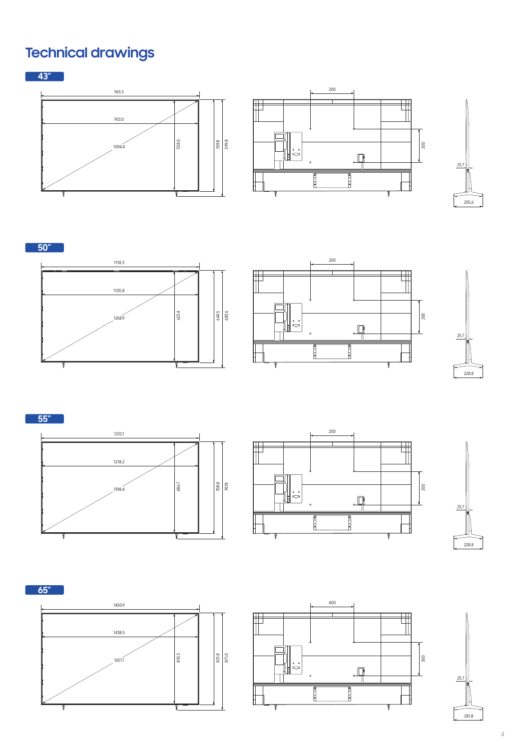## **Technical drawings**

**43"** 

ſ







**50"**  1118.3 1105.8 1268.9 623.4 644.5 683.6





**55"** 







**65"**